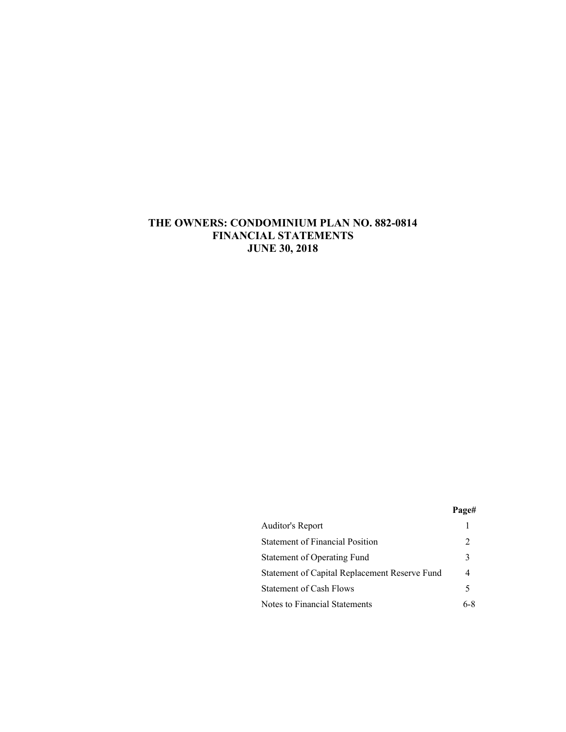## **THE OWNERS: CONDOMINIUM PLAN NO. 882-0814 FINANCIAL STATEMENTS JUNE 30, 2018**

## **Page#**

| <b>Auditor's Report</b>                       |                             |
|-----------------------------------------------|-----------------------------|
| <b>Statement of Financial Position</b>        | $\mathcal{D}_{\mathcal{L}}$ |
| Statement of Operating Fund                   | 3                           |
| Statement of Capital Replacement Reserve Fund | 4                           |
| Statement of Cash Flows                       | 5                           |
| Notes to Financial Statements                 | 6-8                         |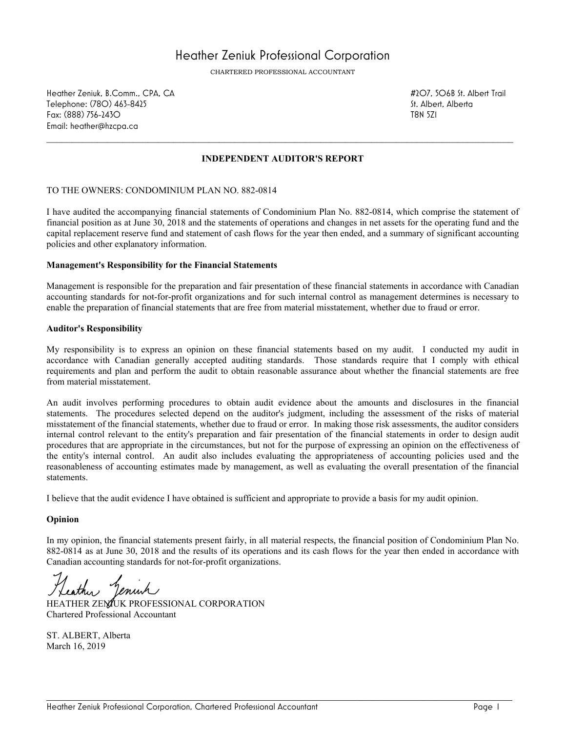# Heather Zeniuk Professional Corporation

CHARTERED PROFESSIONAL ACCOUNTANT

Heather Zeniuk, B.Comm., CPA, CA #207, 506B St. Albert Trail Telephone: (780) 463-8425 St. Alberta and St. Alberta and St. Alberta and St. Alberta and St. Alberta and St. Alberta and St. Alberta and St. Alberta and St. Alberta and St. Alberta and St. Alberta and St. Alberta and St. Fax: (888) 756-2430 T8N 5Z1 Email: heather@hzcpa.ca

#### **INDEPENDENT AUDITOR'S REPORT**

 $\mathcal{L}_\mathcal{L} = \mathcal{L}_\mathcal{L} = \mathcal{L}_\mathcal{L} = \mathcal{L}_\mathcal{L} = \mathcal{L}_\mathcal{L} = \mathcal{L}_\mathcal{L} = \mathcal{L}_\mathcal{L} = \mathcal{L}_\mathcal{L} = \mathcal{L}_\mathcal{L} = \mathcal{L}_\mathcal{L} = \mathcal{L}_\mathcal{L} = \mathcal{L}_\mathcal{L} = \mathcal{L}_\mathcal{L} = \mathcal{L}_\mathcal{L} = \mathcal{L}_\mathcal{L} = \mathcal{L}_\mathcal{L} = \mathcal{L}_\mathcal{L}$ 

#### TO THE OWNERS: CONDOMINIUM PLAN NO. 882-0814

I have audited the accompanying financial statements of Condominium Plan No. 882-0814, which comprise the statement of financial position as at June 30, 2018 and the statements of operations and changes in net assets for the operating fund and the capital replacement reserve fund and statement of cash flows for the year then ended, and a summary of significant accounting policies and other explanatory information.

#### **Management's Responsibility for the Financial Statements**

Management is responsible for the preparation and fair presentation of these financial statements in accordance with Canadian accounting standards for not-for-profit organizations and for such internal control as management determines is necessary to enable the preparation of financial statements that are free from material misstatement, whether due to fraud or error.

#### **Auditor's Responsibility**

My responsibility is to express an opinion on these financial statements based on my audit. I conducted my audit in accordance with Canadian generally accepted auditing standards. Those standards require that I comply with ethical requirements and plan and perform the audit to obtain reasonable assurance about whether the financial statements are free from material misstatement.

An audit involves performing procedures to obtain audit evidence about the amounts and disclosures in the financial statements. The procedures selected depend on the auditor's judgment, including the assessment of the risks of material misstatement of the financial statements, whether due to fraud or error. In making those risk assessments, the auditor considers internal control relevant to the entity's preparation and fair presentation of the financial statements in order to design audit procedures that are appropriate in the circumstances, but not for the purpose of expressing an opinion on the effectiveness of the entity's internal control. An audit also includes evaluating the appropriateness of accounting policies used and the reasonableness of accounting estimates made by management, as well as evaluating the overall presentation of the financial statements.

I believe that the audit evidence I have obtained is sufficient and appropriate to provide a basis for my audit opinion.

#### **Opinion**

In my opinion, the financial statements present fairly, in all material respects, the financial position of Condominium Plan No. 882-0814 as at June 30, 2018 and the results of its operations and its cash flows for the year then ended in accordance with Canadian accounting standards for not-for-profit organizations.

HEATHER ZENIUK PROFESSIONAL CORPORATION Chartered Professional Accountant

ST. ALBERT, Alberta March 16, 2019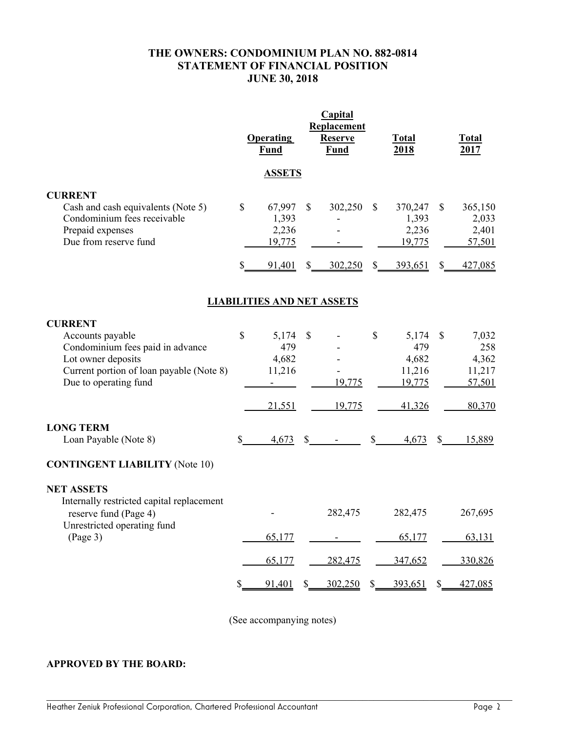## **THE OWNERS: CONDOMINIUM PLAN NO. 882-0814 STATEMENT OF FINANCIAL POSITION JUNE 30, 2018**

|                                                                                                                                                 |                    | <b>Operating</b><br><b>Fund</b>              |                           | Capital<br>Replacement<br><b>Reserve</b><br><b>Fund</b> |                             | <b>Total</b><br>2018                           |              | <b>Total</b><br>2017                           |
|-------------------------------------------------------------------------------------------------------------------------------------------------|--------------------|----------------------------------------------|---------------------------|---------------------------------------------------------|-----------------------------|------------------------------------------------|--------------|------------------------------------------------|
|                                                                                                                                                 |                    | <b>ASSETS</b>                                |                           |                                                         |                             |                                                |              |                                                |
| <b>CURRENT</b><br>Cash and cash equivalents (Note 5)<br>Condominium fees receivable<br>Prepaid expenses<br>Due from reserve fund                | $\mathbb{S}$<br>\$ | 67,997<br>1,393<br>2,236<br>19,775<br>91,401 | \$<br>\$                  | 302,250<br>302,250                                      | \$<br>\$                    | 370,247<br>1,393<br>2,236<br>19,775<br>393,651 | \$<br>\$     | 365,150<br>2,033<br>2,401<br>57,501<br>427,085 |
|                                                                                                                                                 |                    | <b>LIABILITIES AND NET ASSETS</b>            |                           |                                                         |                             |                                                |              |                                                |
| <b>CURRENT</b>                                                                                                                                  |                    |                                              |                           |                                                         |                             |                                                |              |                                                |
| Accounts payable<br>Condominium fees paid in advance<br>Lot owner deposits<br>Current portion of loan payable (Note 8)<br>Due to operating fund | \$                 | 5,174<br>479<br>4,682<br>11,216              | $\boldsymbol{\mathsf{S}}$ | 19,775                                                  | $\mathbb{S}$                | 5,174<br>479<br>4,682<br>11,216<br>19,775      | \$           | 7,032<br>258<br>4,362<br>11,217<br>57,501      |
|                                                                                                                                                 |                    | 21,551                                       |                           | 19,775                                                  |                             | 41,326                                         |              | 80,370                                         |
| <b>LONG TERM</b><br>Loan Payable (Note 8)                                                                                                       | $\mathbb{S}$       | 4,673                                        | S.                        |                                                         | $\mathcal{S}$               | 4,673                                          | \$.          | 15,889                                         |
| <b>CONTINGENT LIABILITY (Note 10)</b>                                                                                                           |                    |                                              |                           |                                                         |                             |                                                |              |                                                |
| <b>NET ASSETS</b><br>Internally restricted capital replacement<br>reserve fund (Page 4)                                                         |                    |                                              |                           | 282,475                                                 |                             | 282,475                                        |              | 267,695                                        |
| Unrestricted operating fund<br>(Page 3)                                                                                                         |                    | 65,177                                       |                           |                                                         |                             | 65,177                                         |              | 63,131                                         |
|                                                                                                                                                 |                    | 65,177                                       |                           | 282,475                                                 |                             | 347,652                                        |              | 330,826                                        |
|                                                                                                                                                 | $S_{-}$            | 91,401                                       | \$                        | 302,250                                                 | $\mathcal{S}_{\mathcal{L}}$ | 393,651                                        | $\mathbb{S}$ | 427,085                                        |

(See accompanying notes)

### **APPROVED BY THE BOARD:**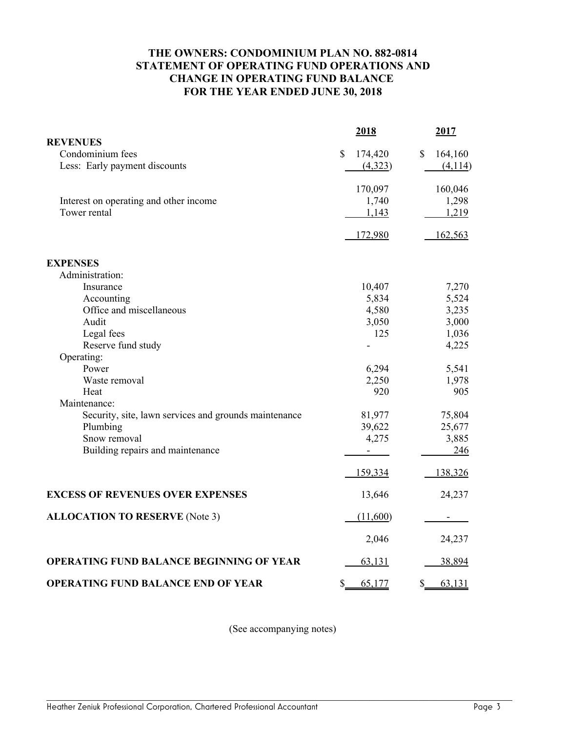## **THE OWNERS: CONDOMINIUM PLAN NO. 882-0814 STATEMENT OF OPERATING FUND OPERATIONS AND CHANGE IN OPERATING FUND BALANCE FOR THE YEAR ENDED JUNE 30, 2018**

|                                                       | 2018          | 2017                    |
|-------------------------------------------------------|---------------|-------------------------|
| <b>REVENUES</b>                                       |               |                         |
| Condominium fees                                      | \$<br>174,420 | $\mathbb{S}$<br>164,160 |
| Less: Early payment discounts                         | (4,323)       | (4,114)                 |
|                                                       | 170,097       | 160,046                 |
| Interest on operating and other income                | 1,740         | 1,298                   |
| Tower rental                                          | 1,143         | 1,219                   |
|                                                       | 172,980       | 162,563                 |
| <b>EXPENSES</b>                                       |               |                         |
| Administration:                                       |               |                         |
| Insurance                                             | 10,407        | 7,270                   |
| Accounting                                            | 5,834         | 5,524                   |
| Office and miscellaneous                              | 4,580         | 3,235                   |
| Audit                                                 | 3,050         | 3,000                   |
| Legal fees                                            | 125           | 1,036                   |
| Reserve fund study                                    | -             | 4,225                   |
| Operating:                                            |               |                         |
| Power                                                 | 6,294         | 5,541                   |
| Waste removal                                         | 2,250<br>920  | 1,978                   |
| Heat<br>Maintenance:                                  |               | 905                     |
| Security, site, lawn services and grounds maintenance | 81,977        | 75,804                  |
| Plumbing                                              | 39,622        | 25,677                  |
| Snow removal                                          | 4,275         | 3,885                   |
| Building repairs and maintenance                      | $\sim$        | 246                     |
|                                                       |               |                         |
|                                                       | 159,334       | 138,326                 |
| <b>EXCESS OF REVENUES OVER EXPENSES</b>               | 13,646        | 24,237                  |
| <b>ALLOCATION TO RESERVE (Note 3)</b>                 | (11,600)      |                         |
|                                                       | 2,046         | 24,237                  |
| <b>OPERATING FUND BALANCE BEGINNING OF YEAR</b>       | 63,131        | 38,894                  |
| <b>OPERATING FUND BALANCE END OF YEAR</b>             | \$<br>65,177  | \$<br>63,131            |

(See accompanying notes)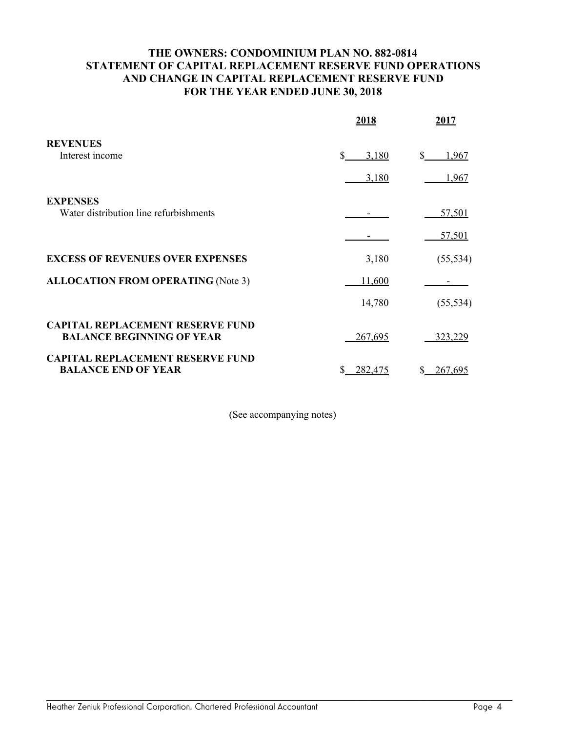## **THE OWNERS: CONDOMINIUM PLAN NO. 882-0814 STATEMENT OF CAPITAL REPLACEMENT RESERVE FUND OPERATIONS AND CHANGE IN CAPITAL REPLACEMENT RESERVE FUND FOR THE YEAR ENDED JUNE 30, 2018**

|                                                                             | 2018        | 2017        |
|-----------------------------------------------------------------------------|-------------|-------------|
| <b>REVENUES</b>                                                             |             |             |
| Interest income                                                             | \$<br>3,180 | S.<br>1,967 |
|                                                                             | 3,180       | 1,967       |
| <b>EXPENSES</b>                                                             |             |             |
| Water distribution line refurbishments                                      |             | 57,501      |
|                                                                             |             | 57,501      |
| <b>EXCESS OF REVENUES OVER EXPENSES</b>                                     | 3,180       | (55, 534)   |
| <b>ALLOCATION FROM OPERATING (Note 3)</b>                                   | 11,600      |             |
|                                                                             | 14,780      | (55, 534)   |
| <b>CAPITAL REPLACEMENT RESERVE FUND</b><br><b>BALANCE BEGINNING OF YEAR</b> | 267,695     | 323,229     |
| <b>CAPITAL REPLACEMENT RESERVE FUND</b><br><b>BALANCE END OF YEAR</b>       | 282,475     | 267,695     |

(See accompanying notes)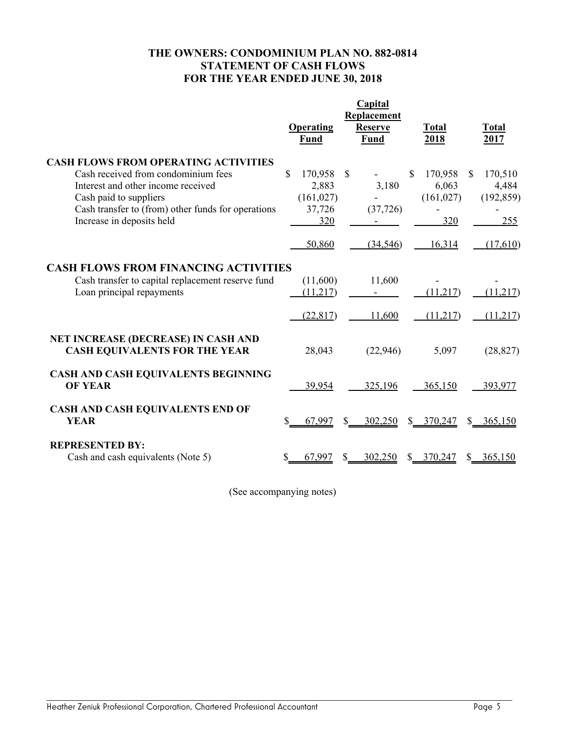## **THE OWNERS: CONDOMINIUM PLAN NO. 882-0814 STATEMENT OF CASH FLOWS FOR THE YEAR ENDED JUNE 30, 2018**

| Operating<br><b>Reserve</b><br><b>Total</b><br><b>Total</b><br>2018<br><b>Fund</b><br><b>Fund</b><br>2017<br><b>CASH FLOWS FROM OPERATING ACTIVITIES</b><br>$\mathbb{S}$<br>Cash received from condominium fees<br>170,958<br>$\mathcal{S}$<br>170,958<br>170,510<br>\$.<br>\$.<br>3,180<br>Interest and other income received<br>2,883<br>6,063<br>4,484<br>(161, 027)<br>(192, 859)<br>Cash paid to suppliers<br>(161, 027)<br>Cash transfer to (from) other funds for operations<br>(37, 726)<br>37,726<br>Increase in deposits held<br>320<br>320<br>255<br>50,860<br>(34, 546)<br>16,314<br>(17,610)<br><b>CASH FLOWS FROM FINANCING ACTIVITIES</b><br>Cash transfer to capital replacement reserve fund<br>(11,600)<br>11,600<br>Loan principal repayments<br>(11,217)<br>(11,217)<br>(11,217)<br>(22, 817)<br>11,600<br>(11,217)<br>(11,217)<br>NET INCREASE (DECREASE) IN CASH AND<br><b>CASH EQUIVALENTS FOR THE YEAR</b><br>28,043<br>5,097<br>(28, 827)<br>(22,946)<br>CASH AND CASH EQUIVALENTS BEGINNING<br><b>OF YEAR</b><br>39,954<br>325,196<br>365,150<br>393,977<br>CASH AND CASH EQUIVALENTS END OF<br><b>YEAR</b><br>\$370,247<br>302,250<br>67,997<br>$\mathbb{S}$<br>\$365,150<br><b>REPRESENTED BY:</b><br>Cash and cash equivalents (Note 5)<br>67,997<br>302,250<br>370,247<br>365,150 |  |             |  |  |
|-----------------------------------------------------------------------------------------------------------------------------------------------------------------------------------------------------------------------------------------------------------------------------------------------------------------------------------------------------------------------------------------------------------------------------------------------------------------------------------------------------------------------------------------------------------------------------------------------------------------------------------------------------------------------------------------------------------------------------------------------------------------------------------------------------------------------------------------------------------------------------------------------------------------------------------------------------------------------------------------------------------------------------------------------------------------------------------------------------------------------------------------------------------------------------------------------------------------------------------------------------------------------------------------------------------------|--|-------------|--|--|
|                                                                                                                                                                                                                                                                                                                                                                                                                                                                                                                                                                                                                                                                                                                                                                                                                                                                                                                                                                                                                                                                                                                                                                                                                                                                                                                 |  | Replacement |  |  |
|                                                                                                                                                                                                                                                                                                                                                                                                                                                                                                                                                                                                                                                                                                                                                                                                                                                                                                                                                                                                                                                                                                                                                                                                                                                                                                                 |  |             |  |  |
|                                                                                                                                                                                                                                                                                                                                                                                                                                                                                                                                                                                                                                                                                                                                                                                                                                                                                                                                                                                                                                                                                                                                                                                                                                                                                                                 |  |             |  |  |
|                                                                                                                                                                                                                                                                                                                                                                                                                                                                                                                                                                                                                                                                                                                                                                                                                                                                                                                                                                                                                                                                                                                                                                                                                                                                                                                 |  |             |  |  |
|                                                                                                                                                                                                                                                                                                                                                                                                                                                                                                                                                                                                                                                                                                                                                                                                                                                                                                                                                                                                                                                                                                                                                                                                                                                                                                                 |  |             |  |  |
|                                                                                                                                                                                                                                                                                                                                                                                                                                                                                                                                                                                                                                                                                                                                                                                                                                                                                                                                                                                                                                                                                                                                                                                                                                                                                                                 |  |             |  |  |
|                                                                                                                                                                                                                                                                                                                                                                                                                                                                                                                                                                                                                                                                                                                                                                                                                                                                                                                                                                                                                                                                                                                                                                                                                                                                                                                 |  |             |  |  |
|                                                                                                                                                                                                                                                                                                                                                                                                                                                                                                                                                                                                                                                                                                                                                                                                                                                                                                                                                                                                                                                                                                                                                                                                                                                                                                                 |  |             |  |  |
|                                                                                                                                                                                                                                                                                                                                                                                                                                                                                                                                                                                                                                                                                                                                                                                                                                                                                                                                                                                                                                                                                                                                                                                                                                                                                                                 |  |             |  |  |
|                                                                                                                                                                                                                                                                                                                                                                                                                                                                                                                                                                                                                                                                                                                                                                                                                                                                                                                                                                                                                                                                                                                                                                                                                                                                                                                 |  |             |  |  |
|                                                                                                                                                                                                                                                                                                                                                                                                                                                                                                                                                                                                                                                                                                                                                                                                                                                                                                                                                                                                                                                                                                                                                                                                                                                                                                                 |  |             |  |  |
|                                                                                                                                                                                                                                                                                                                                                                                                                                                                                                                                                                                                                                                                                                                                                                                                                                                                                                                                                                                                                                                                                                                                                                                                                                                                                                                 |  |             |  |  |
|                                                                                                                                                                                                                                                                                                                                                                                                                                                                                                                                                                                                                                                                                                                                                                                                                                                                                                                                                                                                                                                                                                                                                                                                                                                                                                                 |  |             |  |  |
|                                                                                                                                                                                                                                                                                                                                                                                                                                                                                                                                                                                                                                                                                                                                                                                                                                                                                                                                                                                                                                                                                                                                                                                                                                                                                                                 |  |             |  |  |
|                                                                                                                                                                                                                                                                                                                                                                                                                                                                                                                                                                                                                                                                                                                                                                                                                                                                                                                                                                                                                                                                                                                                                                                                                                                                                                                 |  |             |  |  |
|                                                                                                                                                                                                                                                                                                                                                                                                                                                                                                                                                                                                                                                                                                                                                                                                                                                                                                                                                                                                                                                                                                                                                                                                                                                                                                                 |  |             |  |  |
|                                                                                                                                                                                                                                                                                                                                                                                                                                                                                                                                                                                                                                                                                                                                                                                                                                                                                                                                                                                                                                                                                                                                                                                                                                                                                                                 |  |             |  |  |
|                                                                                                                                                                                                                                                                                                                                                                                                                                                                                                                                                                                                                                                                                                                                                                                                                                                                                                                                                                                                                                                                                                                                                                                                                                                                                                                 |  |             |  |  |
|                                                                                                                                                                                                                                                                                                                                                                                                                                                                                                                                                                                                                                                                                                                                                                                                                                                                                                                                                                                                                                                                                                                                                                                                                                                                                                                 |  |             |  |  |
|                                                                                                                                                                                                                                                                                                                                                                                                                                                                                                                                                                                                                                                                                                                                                                                                                                                                                                                                                                                                                                                                                                                                                                                                                                                                                                                 |  |             |  |  |

(See accompanying notes)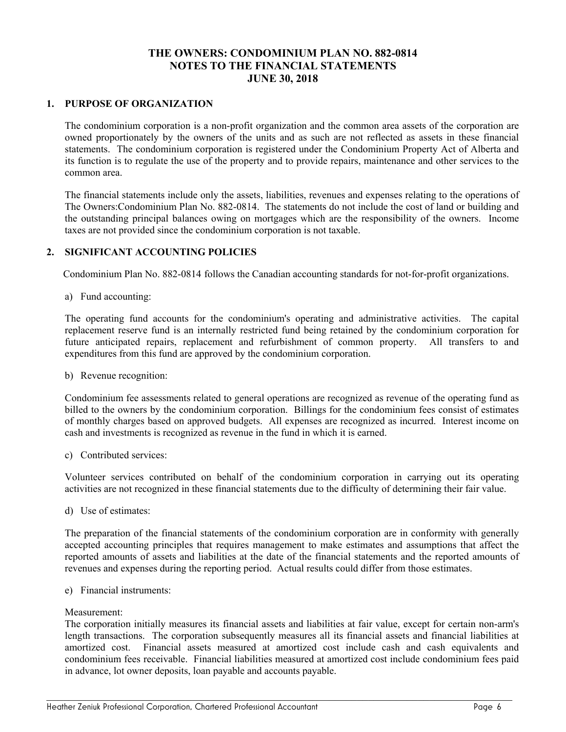## **THE OWNERS: CONDOMINIUM PLAN NO. 882-0814 NOTES TO THE FINANCIAL STATEMENTS JUNE 30, 2018**

### **1. PURPOSE OF ORGANIZATION**

The condominium corporation is a non-profit organization and the common area assets of the corporation are owned proportionately by the owners of the units and as such are not reflected as assets in these financial statements. The condominium corporation is registered under the Condominium Property Act of Alberta and its function is to regulate the use of the property and to provide repairs, maintenance and other services to the common area.

The financial statements include only the assets, liabilities, revenues and expenses relating to the operations of The Owners:Condominium Plan No. 882-0814. The statements do not include the cost of land or building and the outstanding principal balances owing on mortgages which are the responsibility of the owners. Income taxes are not provided since the condominium corporation is not taxable.

### **2. SIGNIFICANT ACCOUNTING POLICIES**

Condominium Plan No. 882-0814 follows the Canadian accounting standards for not-for-profit organizations.

a) Fund accounting:

The operating fund accounts for the condominium's operating and administrative activities. The capital replacement reserve fund is an internally restricted fund being retained by the condominium corporation for future anticipated repairs, replacement and refurbishment of common property. All transfers to and expenditures from this fund are approved by the condominium corporation.

#### b) Revenue recognition:

Condominium fee assessments related to general operations are recognized as revenue of the operating fund as billed to the owners by the condominium corporation. Billings for the condominium fees consist of estimates of monthly charges based on approved budgets. All expenses are recognized as incurred. Interest income on cash and investments is recognized as revenue in the fund in which it is earned.

c) Contributed services:

Volunteer services contributed on behalf of the condominium corporation in carrying out its operating activities are not recognized in these financial statements due to the difficulty of determining their fair value.

d) Use of estimates:

The preparation of the financial statements of the condominium corporation are in conformity with generally accepted accounting principles that requires management to make estimates and assumptions that affect the reported amounts of assets and liabilities at the date of the financial statements and the reported amounts of revenues and expenses during the reporting period. Actual results could differ from those estimates.

e) Financial instruments:

#### Measurement:

The corporation initially measures its financial assets and liabilities at fair value, except for certain non-arm's length transactions. The corporation subsequently measures all its financial assets and financial liabilities at amortized cost. Financial assets measured at amortized cost include cash and cash equivalents and condominium fees receivable. Financial liabilities measured at amortized cost include condominium fees paid in advance, lot owner deposits, loan payable and accounts payable.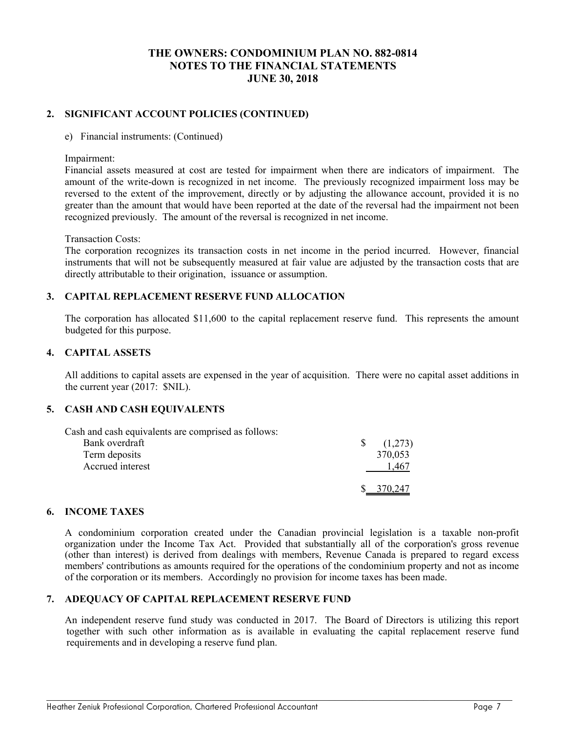### **THE OWNERS: CONDOMINIUM PLAN NO. 882-0814 NOTES TO THE FINANCIAL STATEMENTS JUNE 30, 2018**

### **2. SIGNIFICANT ACCOUNT POLICIES (CONTINUED)**

e) Financial instruments: (Continued)

Impairment:

Financial assets measured at cost are tested for impairment when there are indicators of impairment. The amount of the write-down is recognized in net income. The previously recognized impairment loss may be reversed to the extent of the improvement, directly or by adjusting the allowance account, provided it is no greater than the amount that would have been reported at the date of the reversal had the impairment not been recognized previously. The amount of the reversal is recognized in net income.

Transaction Costs:

The corporation recognizes its transaction costs in net income in the period incurred. However, financial instruments that will not be subsequently measured at fair value are adjusted by the transaction costs that are directly attributable to their origination, issuance or assumption.

#### **3. CAPITAL REPLACEMENT RESERVE FUND ALLOCATION**

The corporation has allocated \$11,600 to the capital replacement reserve fund. This represents the amount budgeted for this purpose.

### **4. CAPITAL ASSETS**

All additions to capital assets are expensed in the year of acquisition. There were no capital asset additions in the current year (2017: \$NIL).

### **5. CASH AND CASH EQUIVALENTS**

Cash and cash equivalents are comprised as follows:

| Bank overdraft<br>Term deposits<br>Accrued interest | (1,273)<br>370,053 |
|-----------------------------------------------------|--------------------|
|                                                     | 370,247            |

### **6. INCOME TAXES**

A condominium corporation created under the Canadian provincial legislation is a taxable non-profit organization under the Income Tax Act. Provided that substantially all of the corporation's gross revenue (other than interest) is derived from dealings with members, Revenue Canada is prepared to regard excess members' contributions as amounts required for the operations of the condominium property and not as income of the corporation or its members. Accordingly no provision for income taxes has been made.

### **7. ADEQUACY OF CAPITAL REPLACEMENT RESERVE FUND**

An independent reserve fund study was conducted in 2017. The Board of Directors is utilizing this report together with such other information as is available in evaluating the capital replacement reserve fund requirements and in developing a reserve fund plan.